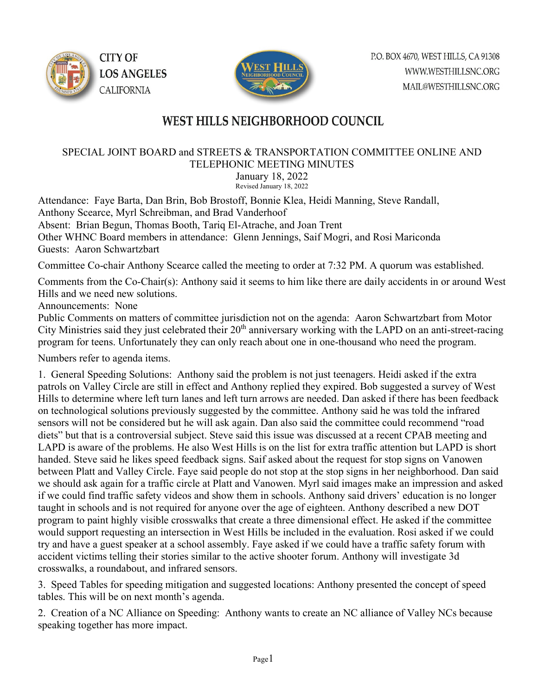



## WEST HILLS NEIGHBORHOOD COUNCIL

## SPECIAL JOINT BOARD and STREETS & TRANSPORTATION COMMITTEE ONLINE AND TELEPHONIC MEETING MINUTES

January 18, 2022 Revised January 18, 2022

Attendance: Faye Barta, Dan Brin, Bob Brostoff, Bonnie Klea, Heidi Manning, Steve Randall, Anthony Scearce, Myrl Schreibman, and Brad Vanderhoof Absent: Brian Begun, Thomas Booth, Tariq El-Atrache, and Joan Trent Other WHNC Board members in attendance: Glenn Jennings, Saif Mogri, and Rosi Mariconda Guests: Aaron Schwartzbart

Committee Co-chair Anthony Scearce called the meeting to order at 7:32 PM. A quorum was established.

Comments from the Co-Chair(s): Anthony said it seems to him like there are daily accidents in or around West Hills and we need new solutions.

Announcements: None

Public Comments on matters of committee jurisdiction not on the agenda: Aaron Schwartzbart from Motor City Ministries said they just celebrated their  $20<sup>th</sup>$  anniversary working with the LAPD on an anti-street-racing program for teens. Unfortunately they can only reach about one in one-thousand who need the program.

Numbers refer to agenda items.

1. General Speeding Solutions: Anthony said the problem is not just teenagers. Heidi asked if the extra patrols on Valley Circle are still in effect and Anthony replied they expired. Bob suggested a survey of West Hills to determine where left turn lanes and left turn arrows are needed. Dan asked if there has been feedback on technological solutions previously suggested by the committee. Anthony said he was told the infrared sensors will not be considered but he will ask again. Dan also said the committee could recommend "road diets" but that is a controversial subject. Steve said this issue was discussed at a recent CPAB meeting and LAPD is aware of the problems. He also West Hills is on the list for extra traffic attention but LAPD is short handed. Steve said he likes speed feedback signs. Saif asked about the request for stop signs on Vanowen between Platt and Valley Circle. Faye said people do not stop at the stop signs in her neighborhood. Dan said we should ask again for a traffic circle at Platt and Vanowen. Myrl said images make an impression and asked if we could find traffic safety videos and show them in schools. Anthony said drivers' education is no longer taught in schools and is not required for anyone over the age of eighteen. Anthony described a new DOT program to paint highly visible crosswalks that create a three dimensional effect. He asked if the committee would support requesting an intersection in West Hills be included in the evaluation. Rosi asked if we could try and have a guest speaker at a school assembly. Faye asked if we could have a traffic safety forum with accident victims telling their stories similar to the active shooter forum. Anthony will investigate 3d crosswalks, a roundabout, and infrared sensors.

3. Speed Tables for speeding mitigation and suggested locations: Anthony presented the concept of speed tables. This will be on next month's agenda.

2. Creation of a NC Alliance on Speeding: Anthony wants to create an NC alliance of Valley NCs because speaking together has more impact.